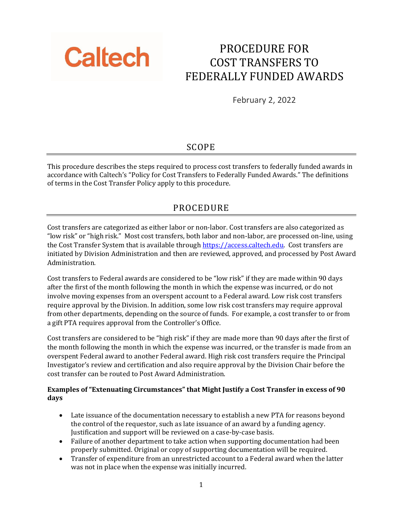

# PROCEDURE FOR COST TRANSFERS TO FEDERALLY FUNDED AWARDS

February 2, 2022

## SCOPE

This procedure describes the steps required to process cost transfers to federally funded awards in accordance with Caltech's "Policy for Cost Transfers to Federally Funded Awards." The definitions of terms in the Cost Transfer Policy apply to this procedure.

## PROCEDURE

Cost transfers are categorized as either labor or non‐labor. Cost transfers are also categorized as "low risk" or "high risk." Most cost transfers, both labor and non‐labor, are processed on‐line, using the Cost Transfer System that is available through [https://access.caltech.edu.](https://access.caltech.edu/) Cost transfers are initiated by Division Administration and then are reviewed, approved, and processed by Post Award Administration.

Cost transfers to Federal awards are considered to be "low risk" if they are made within 90 days after the first of the month following the month in which the expense was incurred, or do not involve moving expenses from an overspent account to a Federal award. Low risk cost transfers require approval by the Division. In addition, some low risk cost transfers may require approval from other departments, depending on the source of funds. For example, a cost transfer to or from a gift PTA requires approval from the Controller's Office.

Cost transfers are considered to be "high risk" if they are made more than 90 days after the first of the month following the month in which the expense was incurred, or the transfer is made from an overspent Federal award to another Federal award. High risk cost transfers require the Principal Investigator's review and certification and also require approval by the Division Chair before the cost transfer can be routed to Post Award Administration.

### **Examples of "Extenuating Circumstances" that Might Justify a Cost Transfer in excess of 90 days**

- Late issuance of the documentation necessary to establish a new PTA for reasons beyond the control of the requestor, such as late issuance of an award by a funding agency. Justification and support will be reviewed on a case‐by‐case basis.
- Failure of another department to take action when supporting documentation had been properly submitted. Original or copy of supporting documentation will be required.
- Transfer of expenditure from an unrestricted account to a Federal award when the latter was not in place when the expense was initially incurred.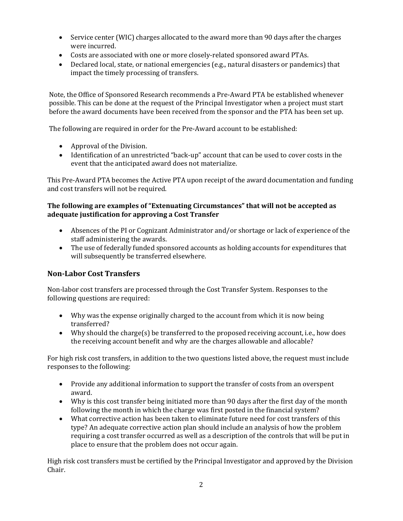- Service center (WIC) charges allocated to the award more than 90 days after the charges were incurred.
- Costs are associated with one or more closely-related sponsored award PTAs.
- Declared local, state, or national emergencies (e.g., natural disasters or pandemics) that impact the timely processing of transfers.

Note, the Office of Sponsored Research recommends a Pre‐Award PTA be established whenever possible. This can be done at the request of the Principal Investigator when a project must start before the award documents have been received from the sponsor and the PTA has been set up.

The following are required in order for the Pre-Award account to be established:

- Approval of the Division.
- Identification of an unrestricted "back-up" account that can be used to cover costs in the event that the anticipated award does not materialize.

This Pre‐Award PTA becomes the Active PTA upon receipt of the award documentation and funding and cost transfers will not be required.

### **The following are examples of "Extenuating Circumstances" that will not be accepted as adequate justification for approving a Cost Transfer**

- Absences of the PI or Cognizant Administrator and/or shortage or lack of experience of the staff administering the awards.
- The use of federally funded sponsored accounts as holding accounts for expenditures that will subsequently be transferred elsewhere.

### **Non‐Labor Cost Transfers**

Non‐labor cost transfers are processed through the Cost Transfer System. Responses to the following questions are required:

- Why was the expense originally charged to the account from which it is now being transferred?
- Why should the charge(s) be transferred to the proposed receiving account, i.e., how does the receiving account benefit and why are the charges allowable and allocable?

For high risk cost transfers, in addition to the two questions listed above, the request must include responses to the following:

- Provide any additional information to support the transfer of costs from an overspent award.
- Why is this cost transfer being initiated more than 90 days after the first day of the month following the month in which the charge was first posted in the financial system?
- What corrective action has been taken to eliminate future need for cost transfers of this type? An adequate corrective action plan should include an analysis of how the problem requiring a cost transfer occurred as well as a description of the controls that will be put in place to ensure that the problem does not occur again.

High risk cost transfers must be certified by the Principal Investigator and approved by the Division Chair.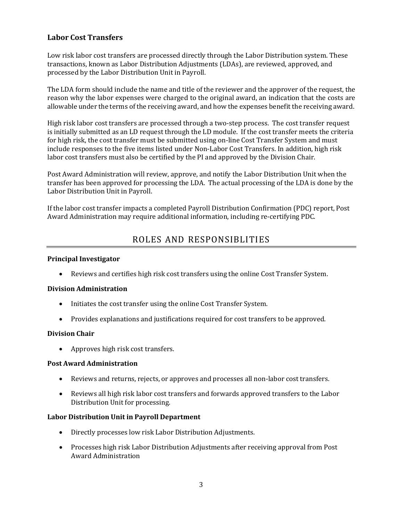### **Labor Cost Transfers**

Low risk labor cost transfers are processed directly through the Labor Distribution system. These transactions, known as Labor Distribution Adjustments (LDAs), are reviewed, approved, and processed by the Labor Distribution Unit in Payroll.

The LDA form should include the name and title of the reviewer and the approver of the request, the reason why the labor expenses were charged to the original award, an indication that the costs are allowable under the terms of the receiving award, and how the expenses benefit the receiving award.

High risk labor cost transfers are processed through a two‐step process. The cost transfer request is initially submitted as an LD request through the LD module. If the cost transfer meets the criteria for high risk, the cost transfer must be submitted using on-line Cost Transfer System and must include responses to the five items listed under Non‐Labor Cost Transfers. In addition, high risk labor cost transfers must also be certified by the PI and approved by the Division Chair.

Post Award Administration will review, approve, and notify the Labor Distribution Unit when the transfer has been approved for processing the LDA. The actual processing of the LDA is done by the Labor Distribution Unit in Payroll.

If the labor cost transfer impacts a completed Payroll Distribution Confirmation (PDC) report, Post Award Administration may require additional information, including re‐certifying PDC.

# ROLES AND RESPONSIBLITIES

#### **Principal Investigator**

• Reviews and certifies high risk cost transfers using the online Cost Transfer System.

#### **Division Administration**

- Initiates the cost transfer using the online Cost Transfer System.
- Provides explanations and justifications required for cost transfers to be approved.

#### **Division Chair**

• Approves high risk cost transfers.

#### **Post Award Administration**

- Reviews and returns, rejects, or approves and processes all non-labor cost transfers.
- Reviews all high risk labor cost transfers and forwards approved transfers to the Labor Distribution Unit for processing.

#### **Labor Distribution Unit in Payroll Department**

- Directly processes low risk Labor Distribution Adjustments.
- Processes high risk Labor Distribution Adjustments after receiving approval from Post Award Administration